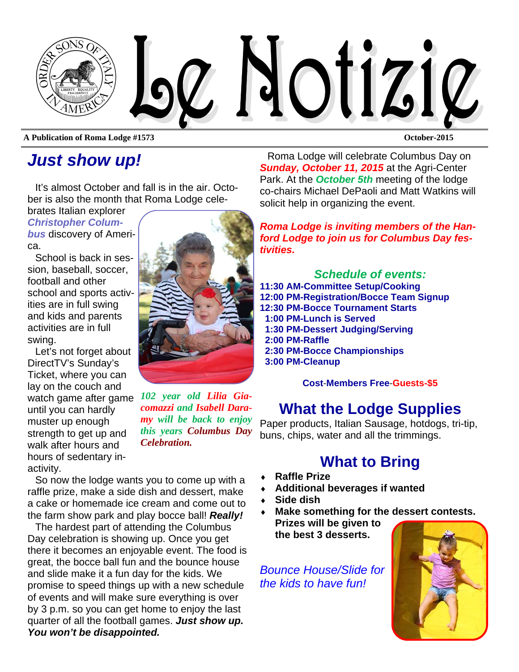

**A Publication of Roma Lodge #1573 October-2015** 

## *Just show up!*

It's almost October and fall is in the air. October is also the month that Roma Lodge cele-

brates Italian explorer *Christopher Columbus* discovery of Ameri-

ca.

School is back in session, baseball, soccer, football and other school and sports activities are in full swing and kids and parents activities are in full swing.

Let's not forget about DirectTV's Sunday's Ticket, where you can lay on the couch and watch game after game *102 year old Lilia Gia*until you can hardly muster up enough strength to get up and walk after hours and hours of sedentary inactivity.



*comazzi and Isabell Daramy will be back to enjoy this years Columbus Day Celebration.* 

So now the lodge wants you to come up with a raffle prize, make a side dish and dessert, make a cake or homemade ice cream and come out to the farm show park and play bocce ball! *Really!* 

The hardest part of attending the Columbus Day celebration is showing up. Once you get there it becomes an enjoyable event. The food is great, the bocce ball fun and the bounce house and slide make it a fun day for the kids. We promise to speed things up with a new schedule of events and will make sure everything is over by 3 p.m. so you can get home to enjoy the last quarter of all the football games. *Just show up. You won't be disappointed.* 

Roma Lodge will celebrate Columbus Day on *Sunday, October 11, 2015* at the Agri-Center Park. At the *October 5th* meeting of the lodge co-chairs Michael DePaoli and Matt Watkins will solicit help in organizing the event.

*Roma Lodge is inviting members of the Hanford Lodge to join us for Columbus Day festivities.* 

*Schedule of events:*  **11:30 AM-Committee Setup/Cooking 12:00 PM-Registration/Bocce Team Signup 12:30 PM-Bocce Tournament Starts 1:00 PM-Lunch is Served 1:30 PM-Dessert Judging/Serving 2:00 PM-Raffle 2:30 PM-Bocce Championships 3:00 PM-Cleanup** 

**Cost**-**Members Free**-**Guests-\$5**

#### **What the Lodge Supplies**

Paper products, Italian Sausage, hotdogs, tri-tip, buns, chips, water and all the trimmings.

#### **What to Bring**

- **Raffle Prize**
- **Additional beverages if wanted**
- **Side dish**
- **Make something for the dessert contests.**

**Prizes will be given to the best 3 desserts.** 

*Bounce House/Slide for the kids to have fun!* 

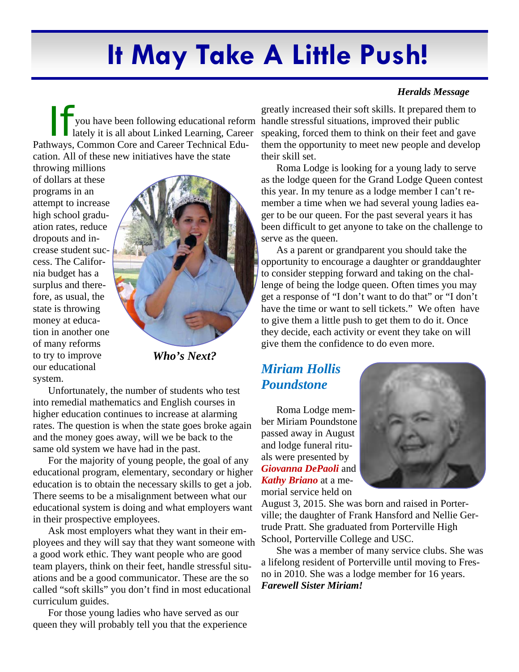# **It May Take A Little Push!**

If you have been following educational reform<br>lately it is all about Linked Learning, Career lately it is all about Linked Learning, Career Pathways, Common Core and Career Technical Education. All of these new initiatives have the state

throwing millions of dollars at these programs in an attempt to increase high school graduation rates, reduce dropouts and increase student success. The California budget has a surplus and therefore, as usual, the state is throwing money at education in another one of many reforms to try to improve our educational system.



*Who's Next?* 

Unfortunately, the number of students who test into remedial mathematics and English courses in higher education continues to increase at alarming rates. The question is when the state goes broke again and the money goes away, will we be back to the same old system we have had in the past.

For the majority of young people, the goal of any educational program, elementary, secondary or higher education is to obtain the necessary skills to get a job. There seems to be a misalignment between what our educational system is doing and what employers want in their prospective employees.

Ask most employers what they want in their employees and they will say that they want someone with a good work ethic. They want people who are good team players, think on their feet, handle stressful situations and be a good communicator. These are the so called "soft skills" you don't find in most educational curriculum guides.

For those young ladies who have served as our queen they will probably tell you that the experience

#### *Heralds Message*

greatly increased their soft skills. It prepared them to handle stressful situations, improved their public speaking, forced them to think on their feet and gave them the opportunity to meet new people and develop their skill set.

Roma Lodge is looking for a young lady to serve as the lodge queen for the Grand Lodge Queen contest this year. In my tenure as a lodge member I can't remember a time when we had several young ladies eager to be our queen. For the past several years it has been difficult to get anyone to take on the challenge to serve as the queen.

As a parent or grandparent you should take the opportunity to encourage a daughter or granddaughter to consider stepping forward and taking on the challenge of being the lodge queen. Often times you may get a response of "I don't want to do that" or "I don't have the time or want to sell tickets." We often have to give them a little push to get them to do it. Once they decide, each activity or event they take on will give them the confidence to do even more.

#### *Miriam Hollis Poundstone*

Roma Lodge member Miriam Poundstone passed away in August and lodge funeral rituals were presented by *Giovanna DePaoli* and *Kathy Briano* at a memorial service held on



August 3, 2015. She was born and raised in Porterville; the daughter of Frank Hansford and Nellie Gertrude Pratt. She graduated from Porterville High School, Porterville College and USC.

She was a member of many service clubs. She was a lifelong resident of Porterville until moving to Fresno in 2010. She was a lodge member for 16 years. *Farewell Sister Miriam!*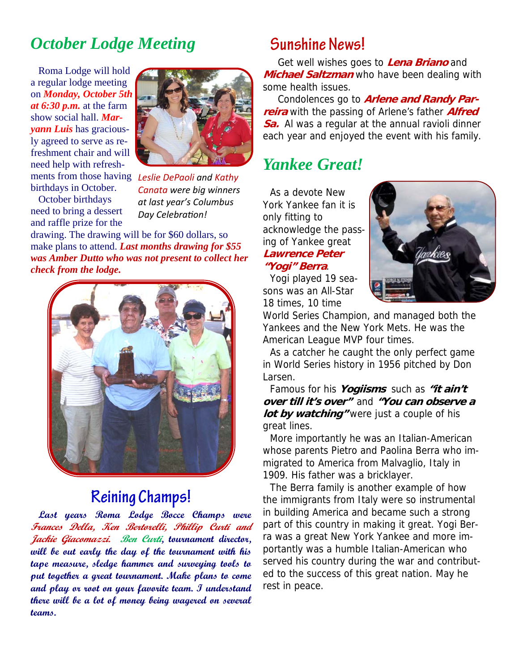### *October Lodge Meeting*

Roma Lodge will hold a regular lodge meeting on *Monday, October 5th at 6:30 p.m.* at the farm show social hall. *Maryann Luis* has graciously agreed to serve as refreshment chair and will need help with refreshbirthdays in October.

October birthdays need to bring a dessert and raffle prize for the



ments from those having *Leslie DePaoli and Kathy Canata were big winners at last year's Columbus*  $Day$  *Celebration!* 

drawing. The drawing will be for \$60 dollars, so make plans to attend. *Last months drawing for \$55 was Amber Dutto who was not present to collect her check from the lodge.* 



## **Reining Champs!**

**Last years Roma Lodge Bocce Champs were Frances Della, Ken Bertorelli, Phillip Curti and Jackie Giacomazzi. Ben Curti, tournament director, will be out early the day of the tournament with his tape measure, sledge hammer and surveying tools to put together a great tournament. Make plans to come and play or root on your favorite team. I understand there will be a lot of money being wagered on several teams.** 

#### **Sunshine News!**

Get well wishes goes to **Lena Briano** and **Michael Saltzman** who have been dealing with some health issues.

Condolences go to **Arlene and Randy Parreira** with the passing of Arlene's father **Alfred Sa.** Al was a regular at the annual ravioli dinner each year and enjoyed the event with his family.

#### *Yankee Great!*

As a devote New York Yankee fan it is only fitting to acknowledge the passing of Yankee great **Lawrence Peter "Yogi" Berra**.



Yogi played 19 seasons was an All-Star 18 times, 10 time

World Series Champion, and managed both the Yankees and the New York Mets. He was the American League MVP four times.

As a catcher he caught the only perfect game in World Series history in 1956 pitched by Don Larsen.

Famous for his **Yogiisms** such as **"it ain't over till it's over"** and **"You can observe a**  *lot by watching were just a couple of his* great lines.

More importantly he was an Italian-American whose parents Pietro and Paolina Berra who immigrated to America from Malvaglio, Italy in 1909. His father was a bricklayer.

The Berra family is another example of how the immigrants from Italy were so instrumental in building America and became such a strong part of this country in making it great. Yogi Berra was a great New York Yankee and more importantly was a humble Italian-American who served his country during the war and contributed to the success of this great nation. May he rest in peace.